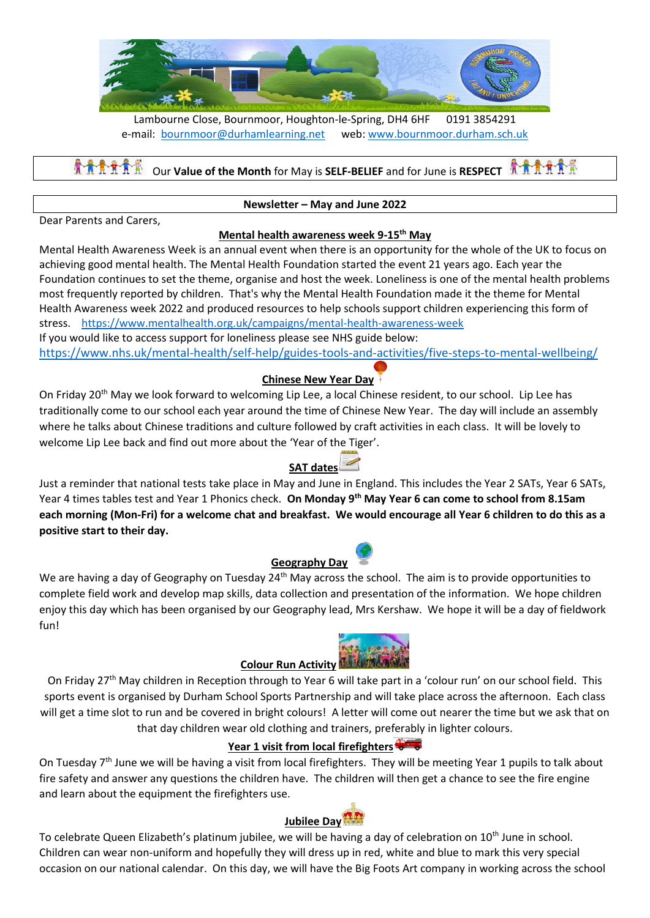

Lambourne Close, Bournmoor, Houghton-le-Spring, DH4 6HF 0191 3854291 e-mail: [bournmoor@durhamlearning.net](mailto:bournmoor@durhamlearning.net) web: [www.bournmoor.durham.sch.uk](http://www.bournmoor.durham.sch.uk/)

#### **A A A A** A A Our **Value of the Month** for May is **SELF-BELIEF** and for June is **RESPECT**

#### **Newsletter – May and June 2022**

Dear Parents and Carers,

### **Mental health awareness week 9-15th May**

Mental Health Awareness Week is an annual event when there is an opportunity for the whole of the UK to focus on achieving good mental health. The Mental Health Foundation started the event 21 years ago. Each year the Foundation continues to set the theme, organise and host the week. Loneliness is one of the mental health problems most frequently reported by children. That's why the Mental Health Foundation made it the theme for Mental Health Awareness week 2022 and produced resources to help schools support children experiencing this form of stress. <https://www.mentalhealth.org.uk/campaigns/mental-health-awareness-week> If you would like to access support for loneliness please see NHS guide below: <https://www.nhs.uk/mental-health/self-help/guides-tools-and-activities/five-steps-to-mental-wellbeing/>

### **Chinese New Year Day**

On Friday 20<sup>th</sup> May we look forward to welcoming Lip Lee, a local Chinese resident, to our school. Lip Lee has traditionally come to our school each year around the time of Chinese New Year. The day will include an assembly where he talks about Chinese traditions and culture followed by craft activities in each class. It will be lovely to welcome Lip Lee back and find out more about the 'Year of the Tiger'.

### **SAT dates**

Just a reminder that national tests take place in May and June in England. This includes the Year 2 SATs, Year 6 SATs, Year 4 times tables test and Year 1 Phonics check. **On Monday 9th May Year 6 can come to school from 8.15am each morning (Mon-Fri) for a welcome chat and breakfast. We would encourage all Year 6 children to do this as a positive start to their day.** 

### **Geography Day**

We are having a day of Geography on Tuesday 24<sup>th</sup> May across the school. The aim is to provide opportunities to complete field work and develop map skills, data collection and presentation of the information. We hope children enjoy this day which has been organised by our Geography lead, Mrs Kershaw. We hope it will be a day of fieldwork fun!

# **Colour Run Activity Thurman**



On Friday 27<sup>th</sup> May children in Reception through to Year 6 will take part in a 'colour run' on our school field. This sports event is organised by Durham School Sports Partnership and will take place across the afternoon. Each class will get a time slot to run and be covered in bright colours! A letter will come out nearer the time but we ask that on that day children wear old clothing and trainers, preferably in lighter colours.

### **Year 1 visit from local firefighters**

On Tuesday 7<sup>th</sup> June we will be having a visit from local firefighters. They will be meeting Year 1 pupils to talk about fire safety and answer any questions the children have. The children will then get a chance to see the fire engine and learn about the equipment the firefighters use.

# **Jubilee Day**

To celebrate Queen Elizabeth's platinum jubilee, we will be having a day of celebration on 10<sup>th</sup> June in school. Children can wear non-uniform and hopefully they will dress up in red, white and blue to mark this very special occasion on our national calendar. On this day, we will have the Big Foots Art company in working across the school